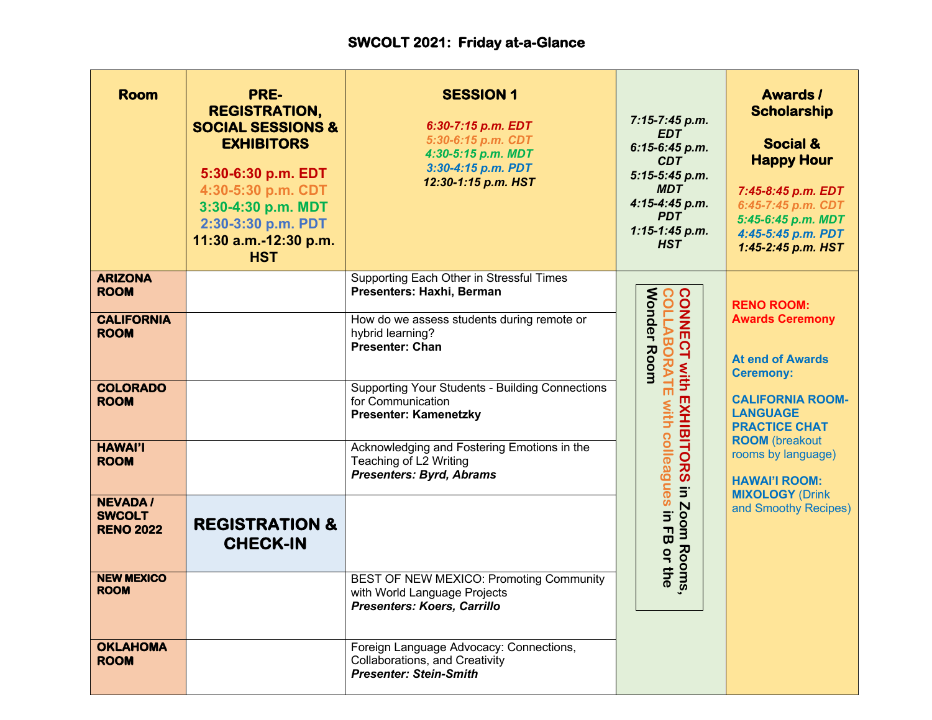| <b>Room</b>                                         | PRE-<br><b>REGISTRATION,</b><br><b>SOCIAL SESSIONS &amp;</b><br><b>EXHIBITORS</b><br>5:30-6:30 p.m. EDT<br>4:30-5:30 p.m. CDT<br>3:30-4:30 p.m. MDT<br>2:30-3:30 p.m. PDT<br>11:30 a.m.-12:30 p.m.<br><b>HST</b> | <b>SESSION 1</b><br>6:30-7:15 p.m. EDT<br>5:30-6:15 p.m. CDT<br>4:30-5:15 p.m. MDT<br>3:30-4:15 p.m. PDT<br>12:30-1:15 p.m. HST | 7:15-7:45 p.m.<br><b>EDT</b><br>6:15-6:45 p.m.<br><b>CDT</b><br>5:15-5:45 p.m.<br><b>MDT</b><br>4:15-4:45 p.m.<br><b>PDT</b><br>$1:15-1:45 p.m.$<br><b>HST</b> | <b>Awards/</b><br><b>Scholarship</b><br><b>Social &amp;</b><br><b>Happy Hour</b><br>7:45-8:45 p.m. EDT<br>6:45-7:45 p.m. CDT<br>5:45-6:45 p.m. MDT<br>4:45-5:45 p.m. PDT<br>1:45-2:45 p.m. HST |  |
|-----------------------------------------------------|------------------------------------------------------------------------------------------------------------------------------------------------------------------------------------------------------------------|---------------------------------------------------------------------------------------------------------------------------------|----------------------------------------------------------------------------------------------------------------------------------------------------------------|------------------------------------------------------------------------------------------------------------------------------------------------------------------------------------------------|--|
| <b>ARIZONA</b><br><b>ROOM</b>                       |                                                                                                                                                                                                                  | Supporting Each Other in Stressful Times<br>Presenters: Haxhi, Berman                                                           |                                                                                                                                                                | <b>RENO ROOM:</b>                                                                                                                                                                              |  |
| <b>CALIFORNIA</b><br><b>ROOM</b>                    |                                                                                                                                                                                                                  | How do we assess students during remote or<br>hybrid learning?<br><b>Presenter: Chan</b>                                        | <b>Wonder Room</b><br><b>CONNECT with<br/>COLLABORATE</b><br>with                                                                                              | <b>Awards Ceremony</b><br><b>At end of Awards</b><br><b>Ceremony:</b>                                                                                                                          |  |
| <b>COLORADO</b><br><b>ROOM</b>                      |                                                                                                                                                                                                                  | <b>Supporting Your Students - Building Connections</b><br>for Communication<br><b>Presenter: Kamenetzky</b>                     | m<br>EXHIBITORS                                                                                                                                                | <b>CALIFORNIA ROOM-</b><br><b>LANGUAGE</b><br><b>PRACTICE CHAT</b>                                                                                                                             |  |
| <b>HAWAI'I</b><br><b>ROOM</b>                       |                                                                                                                                                                                                                  | Acknowledging and Fostering Emotions in the<br>Teaching of L2 Writing<br><b>Presenters: Byrd, Abrams</b>                        | $\Xi$                                                                                                                                                          | <b>ROOM</b> (breakout<br>rooms by language)<br><b>HAWAI'I ROOM:</b><br><b>MIXOLOGY (Drink</b>                                                                                                  |  |
| <b>NEVADA/</b><br><b>SWCOLT</b><br><b>RENO 2022</b> | <b>REGISTRATION &amp;</b><br><b>CHECK-IN</b>                                                                                                                                                                     |                                                                                                                                 | with colleagues in FB or the<br>Zoom<br>Rooms                                                                                                                  | and Smoothy Recipes)                                                                                                                                                                           |  |
| <b>NEW MEXICO</b><br><b>ROOM</b>                    |                                                                                                                                                                                                                  | BEST OF NEW MEXICO: Promoting Community<br>with World Language Projects<br>Presenters: Koers, Carrillo                          |                                                                                                                                                                |                                                                                                                                                                                                |  |
| <b>OKLAHOMA</b><br><b>ROOM</b>                      |                                                                                                                                                                                                                  | Foreign Language Advocacy: Connections,<br>Collaborations, and Creativity<br><b>Presenter: Stein-Smith</b>                      |                                                                                                                                                                |                                                                                                                                                                                                |  |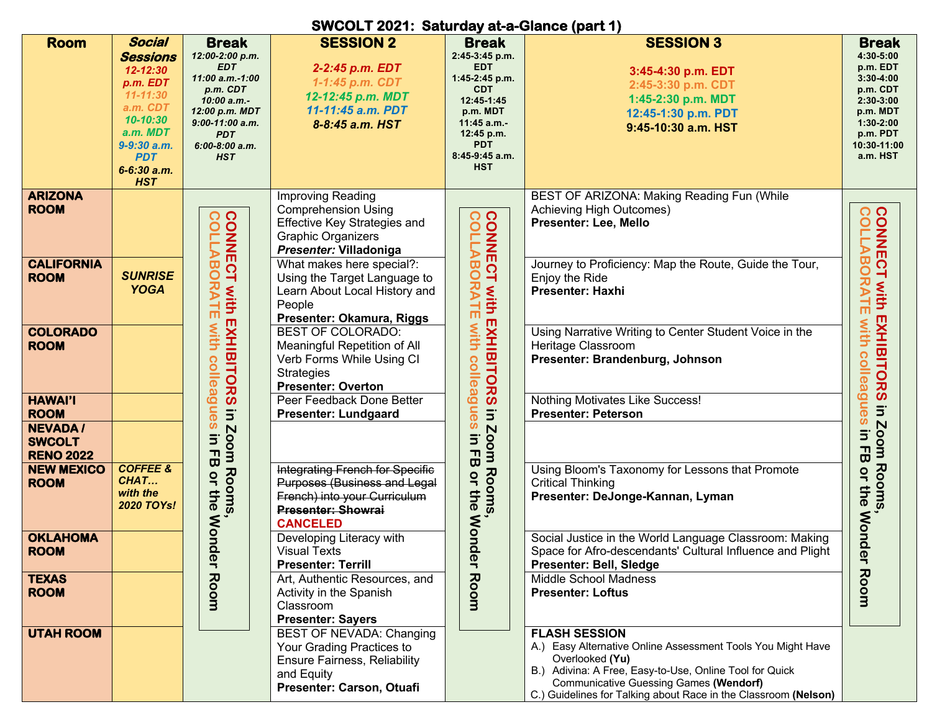## **SWCOLT 2021: Saturday at-a-Glance (part 1)**

|                   |                     |                          |                                     |                         | $\sim$ $\sim$ $\sim$ $\sim$ $\sim$ $\sim$ $\sim$ $\sim$         |                                                             |
|-------------------|---------------------|--------------------------|-------------------------------------|-------------------------|-----------------------------------------------------------------|-------------------------------------------------------------|
| <b>Room</b>       | <b>Social</b>       | <b>Break</b>             | <b>SESSION 2</b>                    | <b>Break</b>            | <b>SESSION 3</b>                                                | <b>Break</b>                                                |
|                   |                     |                          |                                     |                         |                                                                 |                                                             |
|                   | <b>Sessions</b>     | 12:00-2:00 p.m.          |                                     | 2:45-3:45 p.m.          |                                                                 | 4:30-5:00                                                   |
|                   | $12 - 12:30$        | EDT                      | 2-2:45 p.m. EDT                     | <b>EDT</b>              | 3:45-4:30 p.m. EDT                                              | p.m. EDT                                                    |
|                   |                     | 11:00 a.m.-1:00          |                                     | 1:45-2:45 p.m.          |                                                                 | $3:30 - 4:00$                                               |
|                   | p.m. EDT            | p.m. CDT                 | 1-1:45 p.m. CDT                     | <b>CDT</b>              | 2:45-3:30 p.m. CDT                                              | p.m. CDT                                                    |
|                   | $11 - 11:30$        | 10:00 a.m.-              | 12-12:45 p.m. MDT                   | 12:45-1:45              | 1:45-2:30 p.m. MDT                                              | 2:30-3:00                                                   |
|                   | a.m. CDT            | 12:00 p.m. MDT           | 11-11:45 a.m. PDT                   | p.m. MDT                |                                                                 | p.m. MDT                                                    |
|                   | $10 - 10:30$        |                          |                                     |                         | 12:45-1:30 p.m. PDT                                             |                                                             |
|                   |                     | $9:00-11:00$ a.m.        | 8-8:45 a.m. HST                     | 11:45 a.m.-             | 9:45-10:30 a.m. HST                                             | $1:30-2:00$                                                 |
|                   | a.m. MDT            | <b>PDT</b>               |                                     | 12:45 p.m.              |                                                                 | p.m. PDT                                                    |
|                   | 9-9:30 a.m.         | $6:00-8:00$ a.m.         |                                     | <b>PDT</b>              |                                                                 | 10:30-11:00                                                 |
|                   | <b>PDT</b>          | <b>HST</b>               |                                     | 8:45-9:45 a.m.          |                                                                 | a.m. HST                                                    |
|                   | 6-6:30 a.m.         |                          |                                     | <b>HST</b>              |                                                                 |                                                             |
|                   |                     |                          |                                     |                         |                                                                 |                                                             |
|                   | <b>HST</b>          |                          |                                     |                         |                                                                 |                                                             |
| <b>ARIZONA</b>    |                     |                          | Improving Reading                   |                         | BEST OF ARIZONA: Making Reading Fun (While                      |                                                             |
| <b>ROOM</b>       |                     |                          |                                     |                         |                                                                 |                                                             |
|                   |                     |                          | <b>Comprehension Using</b>          |                         | Achieving High Outcomes)                                        |                                                             |
|                   |                     |                          | Effective Key Strategies and        |                         | Presenter: Lee, Mello                                           |                                                             |
|                   |                     |                          | <b>Graphic Organizers</b>           |                         |                                                                 |                                                             |
|                   |                     |                          |                                     |                         |                                                                 |                                                             |
|                   |                     | CONNECT<br>CONNECT       | Presenter: Villadoniga              | CONNECT <sup>,</sup>    |                                                                 |                                                             |
| <b>CALIFORNIA</b> |                     |                          | What makes here special?:           |                         | Journey to Proficiency: Map the Route, Guide the Tour,          |                                                             |
| <b>ROOM</b>       | <b>SUNRISE</b>      |                          | Using the Target Language to        |                         | Enjoy the Ride                                                  |                                                             |
|                   | <b>YOGA</b>         |                          |                                     | ORATE                   | <b>Presenter: Haxhi</b>                                         |                                                             |
|                   |                     | フ<br>ろ<br>with           | Learn About Local History and       | With I                  |                                                                 |                                                             |
|                   |                     |                          | People                              |                         |                                                                 | m                                                           |
|                   |                     | m                        | Presenter: Okamura, Riggs           |                         |                                                                 |                                                             |
| <b>COLORADO</b>   |                     |                          | <b>BEST OF COLORADO:</b>            | with                    |                                                                 |                                                             |
|                   |                     | with                     |                                     |                         | Using Narrative Writing to Center Student Voice in the          |                                                             |
| <b>ROOM</b>       |                     |                          | Meaningful Repetition of All        |                         | Heritage Classroom                                              |                                                             |
|                   |                     |                          | Verb Forms While Using CI           |                         | Presenter: Brandenburg, Johnson                                 | ဂ                                                           |
|                   |                     |                          |                                     |                         |                                                                 | $\circ$                                                     |
|                   |                     |                          | <b>Strategies</b>                   |                         |                                                                 | $\mathbf \sigma$                                            |
|                   |                     |                          | <b>Presenter: Overton</b>           |                         |                                                                 |                                                             |
| <b>HAWAI'I</b>    |                     | EXHIBITORS<br>colleag    | Peer Feedback Done Better           | EXHIBITORS<br>colleag   | Nothing Motivates Like Success!                                 | <b>CONNECT with EXHIBITORS</b><br>CONNECT with collead<br>ڞ |
|                   |                     |                          |                                     |                         |                                                                 |                                                             |
| <b>ROOM</b>       |                     | <b>De</b><br>$\Xi$       | <b>Presenter: Lundgaard</b>         | lues<br>$\Xi$           | <b>Presenter: Peterson</b>                                      |                                                             |
| <b>NEVADA/</b>    |                     | $\tilde{\bm{a}}$<br>Zoom |                                     |                         |                                                                 | <b>Zoom Rooms</b>                                           |
| <b>SWCOLT</b>     |                     | Ξ.                       |                                     | $\overline{5}$          |                                                                 | $\Xi$                                                       |
|                   |                     |                          |                                     |                         |                                                                 | ᆩ                                                           |
| <b>RENO 2022</b>  |                     | $\blacksquare$           |                                     | Zoom<br>$\blacksquare$  |                                                                 | $\vec{\bm{\omega}}$                                         |
| <b>NEW MEXICO</b> | <b>COFFEE &amp;</b> | $\pmb{\varpi}$           | Integrating French for Specific     | $\mathbf{\overline{u}}$ | Using Bloom's Taxonomy for Lessons that Promote                 |                                                             |
|                   | CHAT                | Rooms<br>å               |                                     | Rooms<br>or             |                                                                 | $\mathbf{Q}$                                                |
| <b>ROOM</b>       |                     |                          | Purposes (Business and Legal        |                         | <b>Critical Thinking</b>                                        |                                                             |
|                   | with the            | the                      | French) into your Curriculum        | the                     | Presenter: DeJonge-Kannan, Lyman                                | the                                                         |
|                   | 2020 TOYs!          |                          | <b>Presenter: Showrai</b>           |                         |                                                                 |                                                             |
|                   |                     |                          |                                     |                         |                                                                 |                                                             |
|                   |                     | <b>Wonder</b>            | <b>CANCELED</b>                     | Wonder                  |                                                                 | ,<br>Wondel<br>Wondel                                       |
| <b>OKLAHOMA</b>   |                     |                          | Developing Literacy with            |                         | Social Justice in the World Language Classroom: Making          |                                                             |
| <b>ROOM</b>       |                     |                          | <b>Visual Texts</b>                 |                         | Space for Afro-descendants' Cultural Influence and Plight       |                                                             |
|                   |                     |                          |                                     |                         |                                                                 | ¬                                                           |
|                   |                     |                          | <b>Presenter: Terrill</b>           |                         | Presenter: Bell, Sledge                                         |                                                             |
| <b>TEXAS</b>      |                     | Room                     | Art, Authentic Resources, and       | Room                    | Middle School Madness                                           | Room                                                        |
| <b>ROOM</b>       |                     |                          | Activity in the Spanish             |                         | <b>Presenter: Loftus</b>                                        |                                                             |
|                   |                     |                          |                                     |                         |                                                                 |                                                             |
|                   |                     |                          | Classroom                           |                         |                                                                 |                                                             |
|                   |                     |                          | <b>Presenter: Sayers</b>            |                         |                                                                 |                                                             |
| <b>UTAH ROOM</b>  |                     |                          | BEST OF NEVADA: Changing            |                         | <b>FLASH SESSION</b>                                            |                                                             |
|                   |                     |                          |                                     |                         |                                                                 |                                                             |
|                   |                     |                          | Your Grading Practices to           |                         | A.) Easy Alternative Online Assessment Tools You Might Have     |                                                             |
|                   |                     |                          | <b>Ensure Fairness, Reliability</b> |                         | Overlooked (Yu)                                                 |                                                             |
|                   |                     |                          | and Equity                          |                         | B.) Adivina: A Free, Easy-to-Use, Online Tool for Quick         |                                                             |
|                   |                     |                          |                                     |                         | <b>Communicative Guessing Games (Wendorf)</b>                   |                                                             |
|                   |                     |                          | Presenter: Carson, Otuafi           |                         |                                                                 |                                                             |
|                   |                     |                          |                                     |                         | C.) Guidelines for Talking about Race in the Classroom (Nelson) |                                                             |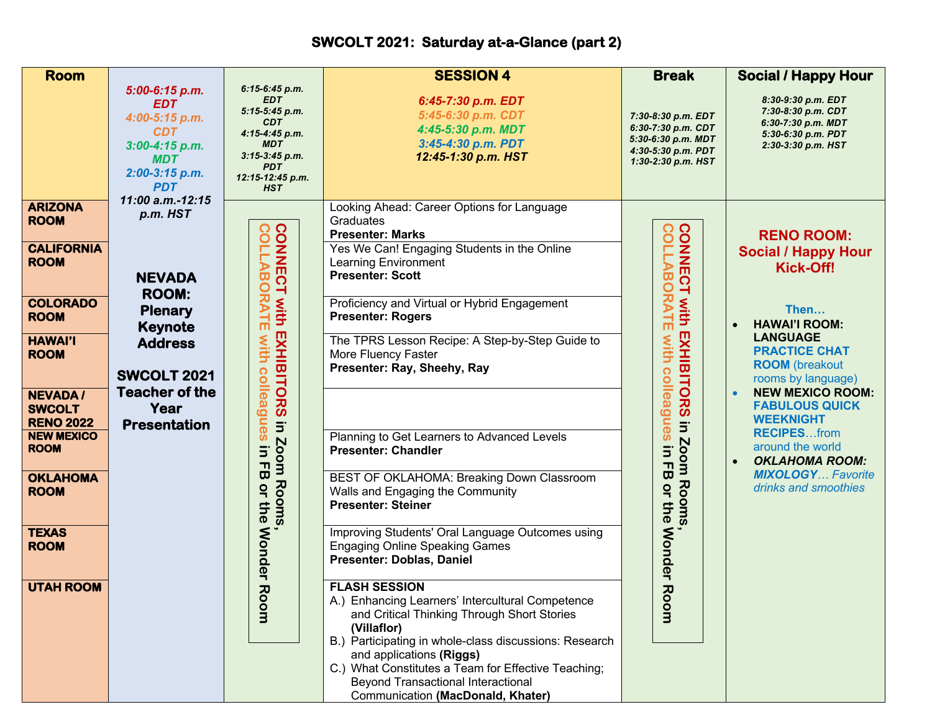## **SWCOLT 2021: Saturday at-a-Glance (part 2)**

| <b>Room</b>                                                                                                                                                                                                                                                                                                          |                                                                                                                                                                                                   |                                                                                                                                                                                                         | <b>SESSION 4</b>                                                                                                                                                                                                                                                                                                                                                                                                                                                                                                                                                                                                                                                                                                                                                                                                                                                                                                                                                                                                                                                        | <b>Break</b>                                                                                                                                                                                     | <b>Social / Happy Hour</b>                                                                                                                                                                                                                                                                                                                                                                         |
|----------------------------------------------------------------------------------------------------------------------------------------------------------------------------------------------------------------------------------------------------------------------------------------------------------------------|---------------------------------------------------------------------------------------------------------------------------------------------------------------------------------------------------|---------------------------------------------------------------------------------------------------------------------------------------------------------------------------------------------------------|-------------------------------------------------------------------------------------------------------------------------------------------------------------------------------------------------------------------------------------------------------------------------------------------------------------------------------------------------------------------------------------------------------------------------------------------------------------------------------------------------------------------------------------------------------------------------------------------------------------------------------------------------------------------------------------------------------------------------------------------------------------------------------------------------------------------------------------------------------------------------------------------------------------------------------------------------------------------------------------------------------------------------------------------------------------------------|--------------------------------------------------------------------------------------------------------------------------------------------------------------------------------------------------|----------------------------------------------------------------------------------------------------------------------------------------------------------------------------------------------------------------------------------------------------------------------------------------------------------------------------------------------------------------------------------------------------|
|                                                                                                                                                                                                                                                                                                                      | 5:00-6:15 p.m.<br><b>EDT</b><br>4:00-5:15 p.m.<br><b>CDT</b><br>$3:00-4:15 p.m.$<br><b>MDT</b><br>2:00-3:15 p.m.<br><b>PDT</b>                                                                    | 6:15-6:45 p.m.<br><b>EDT</b><br>$5:15-5:45 p.m.$<br><b>CDT</b><br>4:15-4:45 p.m.<br><b>MDT</b><br>$3:15-3:45 p.m.$<br><b>PDT</b><br>12:15-12:45 p.m.<br><b>HST</b>                                      | 6:45-7:30 p.m. EDT<br>5:45-6:30 p.m. CDT<br>4:45-5:30 p.m. MDT<br>3:45-4:30 p.m. PDT<br>12:45-1:30 p.m. HST                                                                                                                                                                                                                                                                                                                                                                                                                                                                                                                                                                                                                                                                                                                                                                                                                                                                                                                                                             | 7:30-8:30 p.m. EDT<br>6:30-7:30 p.m. CDT<br>5:30-6:30 p.m. MDT<br>4:30-5:30 p.m. PDT<br>1:30-2:30 p.m. HST                                                                                       | 8:30-9:30 p.m. EDT<br>7:30-8:30 p.m. CDT<br>6:30-7:30 p.m. MDT<br>5:30-6:30 p.m. PDT<br>2:30-3:30 p.m. HST                                                                                                                                                                                                                                                                                         |
| <b>ARIZONA</b><br><b>ROOM</b><br><b>CALIFORNIA</b><br><b>ROOM</b><br><b>COLORADO</b><br><b>ROOM</b><br><b>HAWAI'I</b><br><b>ROOM</b><br><b>NEVADA/</b><br><b>SWCOLT</b><br><b>RENO 2022</b><br><b>NEW MEXICO</b><br><b>ROOM</b><br><b>OKLAHOMA</b><br><b>ROOM</b><br><b>TEXAS</b><br><b>ROOM</b><br><b>UTAH ROOM</b> | 11:00 a.m.-12:15<br>p.m. HST<br><b>NEVADA</b><br><b>ROOM:</b><br><b>Plenary</b><br><b>Keynote</b><br><b>Address</b><br><b>SWCOLT 2021</b><br><b>Teacher of the</b><br>Year<br><b>Presentation</b> | <b>CONNECT</b><br>င်<br>ᡂ<br>$\mathsf{\circ}$<br>RATI<br>with<br>m<br>EXHIBITORS<br>with<br>colleagues<br>$\Xi$<br>Zoom<br>Ξ.<br>ᆩ<br>ω<br>Rooms<br>å<br>the<br><b>Wonder</b><br>$\overline{u}$<br>uoo; | Looking Ahead: Career Options for Language<br>Graduates<br><b>Presenter: Marks</b><br>Yes We Can! Engaging Students in the Online<br><b>Learning Environment</b><br><b>Presenter: Scott</b><br>Proficiency and Virtual or Hybrid Engagement<br><b>Presenter: Rogers</b><br>The TPRS Lesson Recipe: A Step-by-Step Guide to<br>More Fluency Faster<br>Presenter: Ray, Sheehy, Ray<br>Planning to Get Learners to Advanced Levels<br><b>Presenter: Chandler</b><br>BEST OF OKLAHOMA: Breaking Down Classroom<br>Walls and Engaging the Community<br><b>Presenter: Steiner</b><br>Improving Students' Oral Language Outcomes using<br><b>Engaging Online Speaking Games</b><br>Presenter: Doblas, Daniel<br><b>FLASH SESSION</b><br>A.) Enhancing Learners' Intercultural Competence<br>and Critical Thinking Through Short Stories<br>(Villaflor)<br>B.) Participating in whole-class discussions: Research<br>and applications (Riggs)<br>C.) What Constitutes a Team for Effective Teaching;<br>Beyond Transactional Interactional<br>Communication (MacDonald, Khater) | CONNE<br>AĐ<br>ΞÏ<br>$\circ$<br><b>RATE</b><br>with<br>EXHIBITORS<br>with<br>colleagues<br>$\Xi$<br>Zoom<br>$\Xi$<br>$\overline{a}$<br>Rooms<br>or the<br><b>Wonder</b><br>$\overline{u}$<br>moo | <b>RENO ROOM:</b><br><b>Social / Happy Hour</b><br>Kick-Off!<br>Then<br><b>HAWAI'I ROOM:</b><br><b>LANGUAGE</b><br><b>PRACTICE CHAT</b><br><b>ROOM</b> (breakout<br>rooms by language)<br><b>NEW MEXICO ROOM:</b><br><b>FABULOUS QUICK</b><br><b>WEEKNIGHT</b><br><b>RECIPESfrom</b><br>around the world<br><b>OKLAHOMA ROOM:</b><br>$\bullet$<br><b>MIXOLOGY Favorite</b><br>drinks and smoothies |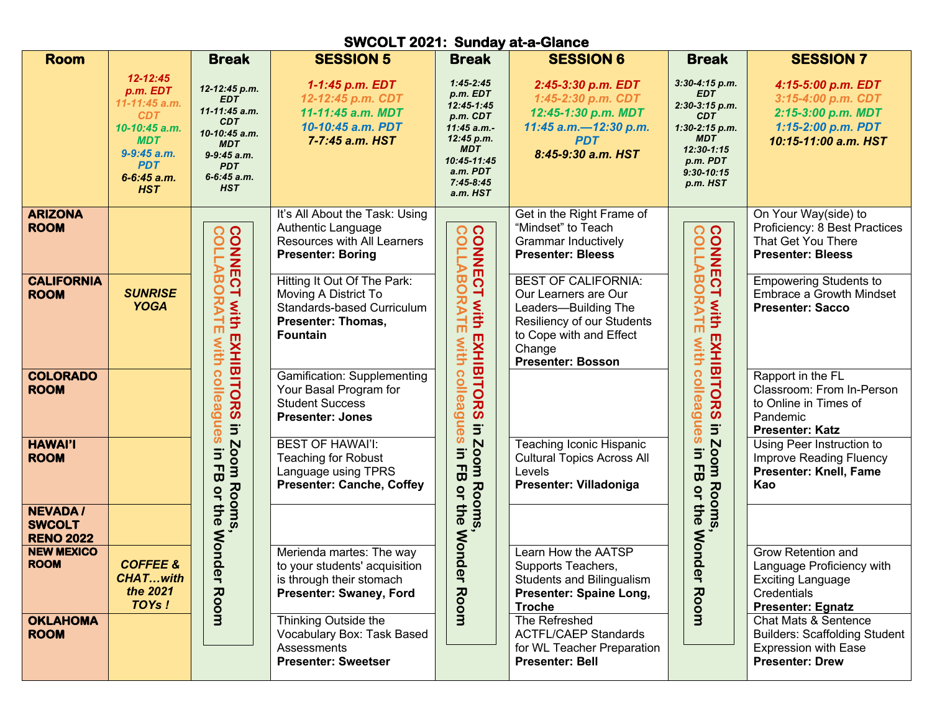| <b>SWCOLT 2021: Sunday at-a-Glance</b>              |                                                                                                                                              |                                                                                                                                                       |                                                                                                                                   |                                                                                                                                                            |                                                                                                                                                                           |                                                                                                                                                            |                                                                                                                                  |  |
|-----------------------------------------------------|----------------------------------------------------------------------------------------------------------------------------------------------|-------------------------------------------------------------------------------------------------------------------------------------------------------|-----------------------------------------------------------------------------------------------------------------------------------|------------------------------------------------------------------------------------------------------------------------------------------------------------|---------------------------------------------------------------------------------------------------------------------------------------------------------------------------|------------------------------------------------------------------------------------------------------------------------------------------------------------|----------------------------------------------------------------------------------------------------------------------------------|--|
| <b>Room</b>                                         |                                                                                                                                              | <b>Break</b>                                                                                                                                          | <b>SESSION 5</b>                                                                                                                  | <b>Break</b>                                                                                                                                               | <b>SESSION 6</b>                                                                                                                                                          | <b>Break</b>                                                                                                                                               | <b>SESSION 7</b>                                                                                                                 |  |
|                                                     | 12-12:45<br>p.m. EDT<br>11-11:45 a.m.<br><b>CDT</b><br>10-10:45 a.m.<br><b>MDT</b><br>9-9:45 a.m.<br><b>PDT</b><br>6-6:45 a.m.<br><b>HST</b> | 12-12:45 p.m.<br><b>EDT</b><br>11-11:45 a.m.<br><b>CDT</b><br>10-10:45 a.m.<br><b>MDT</b><br>$9-9:45$ a.m.<br><b>PDT</b><br>6-6:45 a.m.<br><b>HST</b> | 1-1:45 p.m. EDT<br>12-12:45 p.m. CDT<br>11-11:45 a.m. MDT<br>10-10:45 a.m. PDT<br>7-7:45 a.m. HST                                 | $1:45 - 2:45$<br>$p.m.$ $EDT$<br>12:45-1:45<br>p.m. CDT<br>11:45 a.m.-<br>12:45 p.m.<br><b>MDT</b><br>10:45-11:45<br>a.m. PDT<br>$7:45 - 8:45$<br>a.m. HST | 2:45-3:30 p.m. EDT<br>1:45-2:30 p.m. CDT<br>12:45-1:30 p.m. MDT<br>11:45 a.m.-12:30 p.m.<br><b>PDT</b><br>8:45-9:30 a.m. HST                                              | 3:30-4:15 p.m.<br><b>EDT</b><br>2:30-3:15 p.m.<br><b>CDT</b><br>$1:30-2:15 p.m.$<br><b>MDT</b><br>$12:30 - 1:15$<br>p.m. PDT<br>$9:30 - 10:15$<br>p.m. HST | 4:15-5:00 p.m. EDT<br>3:15-4:00 p.m. CDT<br>2:15-3:00 p.m. MDT<br>1:15-2:00 p.m. PDT<br>10:15-11:00 a.m. HST                     |  |
| <b>ARIZONA</b><br><b>ROOM</b>                       |                                                                                                                                              | COLLAE                                                                                                                                                | It's All About the Task: Using<br>Authentic Language<br>Resources with All Learners<br><b>Presenter: Boring</b>                   | <b>CONNECT</b><br>$\Omega$<br>$\circ$<br>$\boldsymbol{\varpi}$<br>O<br>スマ<br>with EXHIBITORS<br>片<br>with                                                  | Get in the Right Frame of<br>"Mindset" to Teach<br><b>Grammar Inductively</b><br><b>Presenter: Bleess</b>                                                                 | <b>CONNECT</b><br>$\Omega$<br>O                                                                                                                            | On Your Way(side) to<br>Proficiency: 8 Best Practices<br>That Get You There<br><b>Presenter: Bleess</b>                          |  |
| <b>CALIFORNIA</b><br><b>ROOM</b>                    | <b>SUNRISE</b><br><b>YOGA</b>                                                                                                                | <b>LABO</b><br>$\overline{O}$<br>ᅴ<br><b>RATE</b><br>with<br>with                                                                                     | Hitting It Out Of The Park:<br>Moving A District To<br>Standards-based Curriculum<br><b>Presenter: Thomas,</b><br><b>Fountain</b> |                                                                                                                                                            | <b>BEST OF CALIFORNIA:</b><br>Our Learners are Our<br>Leaders-Building The<br>Resiliency of our Students<br>to Cope with and Effect<br>Change<br><b>Presenter: Bosson</b> | $\boldsymbol{\varpi}$<br>C<br>スマ<br>with EXHIBITORS<br>뉴<br><b>With</b>                                                                                    | <b>Empowering Students to</b><br>Embrace a Growth Mindset<br><b>Presenter: Sacco</b>                                             |  |
| <b>COLORADO</b><br><b>ROOM</b>                      |                                                                                                                                              | <b>EXHIBITORS</b><br>colleague<br>$\Xi$                                                                                                               | <b>Gamification: Supplementing</b><br>Your Basal Program for<br><b>Student Success</b><br><b>Presenter: Jones</b>                 | colleagu<br>$\boldsymbol{\sigma}$                                                                                                                          |                                                                                                                                                                           | colleague<br>$\Xi$                                                                                                                                         | Rapport in the FL<br>Classroom: From In-Person<br>to Online in Times of<br>Pandemic<br><b>Presenter: Katz</b>                    |  |
| <b>HAWAI'I</b><br><b>ROOM</b>                       |                                                                                                                                              | $\ddot{\bm{w}}$<br>Zoom<br>$\Xi$<br>$\mathbf{B}$<br>Rooms<br>$\overline{a}$                                                                           | <b>BEST OF HAWAI'I:</b><br><b>Teaching for Robust</b><br>Language using TPRS<br><b>Presenter: Canche, Coffey</b>                  | in Zoom Rooms<br>$\boldsymbol{\omega}$<br>$\Xi$<br>ᆩ<br>$\vec{a}$<br>$\overline{a}$                                                                        | Teaching Iconic Hispanic<br><b>Cultural Topics Across All</b><br>Levels<br>Presenter: Villadoniga                                                                         | $\ddot{\bm{v}}$<br><b>Zoom Rooms</b><br>$\overline{\mathsf{d}}$<br>$\mathbf{\tau}$<br>$\vec{a}$<br>$\frac{1}{2}$                                           | Using Peer Instruction to<br>Improve Reading Fluency<br><b>Presenter: Knell, Fame</b><br>Kao                                     |  |
| <b>NEVADA/</b><br><b>SWCOLT</b><br><b>RENO 2022</b> |                                                                                                                                              | the<br><b>Mon</b>                                                                                                                                     |                                                                                                                                   | the<br><b>Mon</b>                                                                                                                                          |                                                                                                                                                                           | the<br><b>Mon</b>                                                                                                                                          |                                                                                                                                  |  |
| <b>NEW MEXICO</b><br><b>ROOM</b>                    | <b>COFFEE &amp;</b><br><b>CHATwith</b><br>the 2021<br>TOYs!                                                                                  | der<br>Room                                                                                                                                           | Merienda martes: The way<br>to your students' acquisition<br>is through their stomach<br>Presenter: Swaney, Ford                  | der<br>Room                                                                                                                                                | Learn How the AATSP<br>Supports Teachers,<br><b>Students and Bilingualism</b><br>Presenter: Spaine Long,<br><b>Troche</b>                                                 | der<br>Room                                                                                                                                                | Grow Retention and<br>Language Proficiency with<br><b>Exciting Language</b><br>Credentials<br><b>Presenter: Egnatz</b>           |  |
| <b>OKLAHOMA</b><br><b>ROOM</b>                      |                                                                                                                                              |                                                                                                                                                       | Thinking Outside the<br>Vocabulary Box: Task Based<br><b>Assessments</b><br><b>Presenter: Sweetser</b>                            |                                                                                                                                                            | The Refreshed<br><b>ACTFL/CAEP Standards</b><br>for WL Teacher Preparation<br><b>Presenter: Bell</b>                                                                      |                                                                                                                                                            | <b>Chat Mats &amp; Sentence</b><br><b>Builders: Scaffolding Student</b><br><b>Expression with Ease</b><br><b>Presenter: Drew</b> |  |